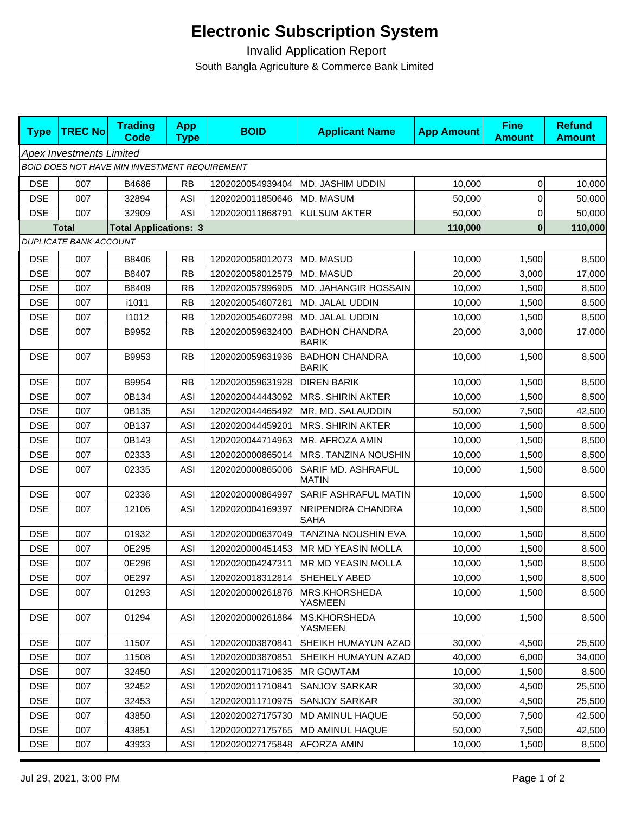## **Electronic Subscription System**

 Invalid Application Report South Bangla Agriculture & Commerce Bank Limited

| <b>Type</b>                                   | <b>TREC No</b>                | <b>Trading</b><br><b>Code</b> | <b>App</b><br><b>Type</b> | <b>BOID</b>      | <b>Applicant Name</b>                 | <b>App Amount</b> | <b>Fine</b><br><b>Amount</b> | <b>Refund</b><br><b>Amount</b> |  |  |  |  |
|-----------------------------------------------|-------------------------------|-------------------------------|---------------------------|------------------|---------------------------------------|-------------------|------------------------------|--------------------------------|--|--|--|--|
| <b>Apex Investments Limited</b>               |                               |                               |                           |                  |                                       |                   |                              |                                |  |  |  |  |
| BOID DOES NOT HAVE MIN INVESTMENT REQUIREMENT |                               |                               |                           |                  |                                       |                   |                              |                                |  |  |  |  |
| <b>DSE</b>                                    | 007                           | B4686                         | <b>RB</b>                 | 1202020054939404 | MD. JASHIM UDDIN                      | 10,000            | 0                            | 10,000                         |  |  |  |  |
| <b>DSE</b>                                    | 007                           | 32894                         | <b>ASI</b>                | 1202020011850646 | MD. MASUM                             | 50,000            | 0                            | 50,000                         |  |  |  |  |
| <b>DSE</b>                                    | 007                           | 32909                         | <b>ASI</b>                | 1202020011868791 | <b>KULSUM AKTER</b>                   | 50,000            | 0                            | 50,000                         |  |  |  |  |
|                                               | <b>Total</b>                  | <b>Total Applications: 3</b>  |                           |                  |                                       | 110,000           | $\mathbf{0}$                 | 110,000                        |  |  |  |  |
|                                               | <b>DUPLICATE BANK ACCOUNT</b> |                               |                           |                  |                                       |                   |                              |                                |  |  |  |  |
| <b>DSE</b>                                    | 007                           | B8406                         | <b>RB</b>                 | 1202020058012073 | MD. MASUD                             | 10,000            | 1,500                        | 8,500                          |  |  |  |  |
| <b>DSE</b>                                    | 007                           | B8407                         | <b>RB</b>                 | 1202020058012579 | MD. MASUD                             | 20,000            | 3,000                        | 17,000                         |  |  |  |  |
| <b>DSE</b>                                    | 007                           | B8409                         | <b>RB</b>                 | 1202020057996905 | MD. JAHANGIR HOSSAIN                  | 10,000            | 1,500                        | 8,500                          |  |  |  |  |
| <b>DSE</b>                                    | 007                           | i1011                         | <b>RB</b>                 | 1202020054607281 | MD. JALAL UDDIN                       | 10,000            | 1,500                        | 8,500                          |  |  |  |  |
| <b>DSE</b>                                    | 007                           | 11012                         | <b>RB</b>                 | 1202020054607298 | MD. JALAL UDDIN                       | 10,000            | 1,500                        | 8,500                          |  |  |  |  |
| <b>DSE</b>                                    | 007                           | B9952                         | <b>RB</b>                 | 1202020059632400 | <b>BADHON CHANDRA</b><br><b>BARIK</b> | 20,000            | 3,000                        | 17,000                         |  |  |  |  |
| <b>DSE</b>                                    | 007                           | B9953                         | <b>RB</b>                 | 1202020059631936 | <b>BADHON CHANDRA</b><br><b>BARIK</b> | 10,000            | 1,500                        | 8,500                          |  |  |  |  |
| <b>DSE</b>                                    | 007                           | B9954                         | <b>RB</b>                 | 1202020059631928 | <b>DIREN BARIK</b>                    | 10,000            | 1,500                        | 8,500                          |  |  |  |  |
| <b>DSE</b>                                    | 007                           | 0B134                         | <b>ASI</b>                | 1202020044443092 | <b>MRS. SHIRIN AKTER</b>              | 10,000            | 1,500                        | 8,500                          |  |  |  |  |
| <b>DSE</b>                                    | 007                           | 0B135                         | <b>ASI</b>                | 1202020044465492 | MR. MD. SALAUDDIN                     | 50,000            | 7,500                        | 42,500                         |  |  |  |  |
| <b>DSE</b>                                    | 007                           | 0B137                         | <b>ASI</b>                | 1202020044459201 | <b>MRS. SHIRIN AKTER</b>              | 10,000            | 1,500                        | 8,500                          |  |  |  |  |
| <b>DSE</b>                                    | 007                           | 0B143                         | <b>ASI</b>                | 1202020044714963 | MR. AFROZA AMIN                       | 10,000            | 1,500                        | 8,500                          |  |  |  |  |
| <b>DSE</b>                                    | 007                           | 02333                         | <b>ASI</b>                | 1202020000865014 | MRS. TANZINA NOUSHIN                  | 10,000            | 1,500                        | 8,500                          |  |  |  |  |
| <b>DSE</b>                                    | 007                           | 02335                         | <b>ASI</b>                | 1202020000865006 | SARIF MD. ASHRAFUL<br><b>MATIN</b>    | 10,000            | 1,500                        | 8,500                          |  |  |  |  |
| <b>DSE</b>                                    | 007                           | 02336                         | <b>ASI</b>                | 1202020000864997 | SARIF ASHRAFUL MATIN                  | 10,000            | 1,500                        | 8,500                          |  |  |  |  |
| <b>DSE</b>                                    | 007                           | 12106                         | <b>ASI</b>                | 1202020004169397 | NRIPENDRA CHANDRA<br><b>SAHA</b>      | 10,000            | 1,500                        | 8,500                          |  |  |  |  |
| <b>DSE</b>                                    | 007                           | 01932                         | <b>ASI</b>                | 1202020000637049 | TANZINA NOUSHIN EVA                   | 10,000            | 1,500                        | 8,500                          |  |  |  |  |
| <b>DSE</b>                                    | 007                           | 0E295                         | <b>ASI</b>                | 1202020000451453 | MR MD YEASIN MOLLA                    | 10,000            | 1,500                        | 8,500                          |  |  |  |  |
| <b>DSE</b>                                    | 007                           | 0E296                         | <b>ASI</b>                | 1202020004247311 | <b>MR MD YEASIN MOLLA</b>             | 10,000            | 1,500                        | 8,500                          |  |  |  |  |
| <b>DSE</b>                                    | 007                           | 0E297                         | ASI                       | 1202020018312814 | SHEHELY ABED                          | 10,000            | 1,500                        | 8,500                          |  |  |  |  |
| <b>DSE</b>                                    | 007                           | 01293                         | ASI                       | 1202020000261876 | MRS.KHORSHEDA<br>YASMEEN              | 10,000            | 1,500                        | 8,500                          |  |  |  |  |
| <b>DSE</b>                                    | 007                           | 01294                         | <b>ASI</b>                | 1202020000261884 | MS.KHORSHEDA<br>YASMEEN               | 10,000            | 1,500                        | 8,500                          |  |  |  |  |
| <b>DSE</b>                                    | 007                           | 11507                         | <b>ASI</b>                | 1202020003870841 | SHEIKH HUMAYUN AZAD                   | 30,000            | 4,500                        | 25,500                         |  |  |  |  |
| <b>DSE</b>                                    | 007                           | 11508                         | <b>ASI</b>                | 1202020003870851 | SHEIKH HUMAYUN AZAD                   | 40,000            | 6,000                        | 34,000                         |  |  |  |  |
| <b>DSE</b>                                    | 007                           | 32450                         | ASI                       | 1202020011710635 | <b>MR GOWTAM</b>                      | 10,000            | 1,500                        | 8,500                          |  |  |  |  |
| <b>DSE</b>                                    | 007                           | 32452                         | <b>ASI</b>                | 1202020011710841 | <b>SANJOY SARKAR</b>                  | 30,000            | 4,500                        | 25,500                         |  |  |  |  |
| <b>DSE</b>                                    | 007                           | 32453                         | <b>ASI</b>                | 1202020011710975 | <b>SANJOY SARKAR</b>                  | 30,000            | 4,500                        | 25,500                         |  |  |  |  |
| <b>DSE</b>                                    | 007                           | 43850                         | <b>ASI</b>                | 1202020027175730 | <b>MD AMINUL HAQUE</b>                | 50,000            | 7,500                        | 42,500                         |  |  |  |  |
| <b>DSE</b>                                    | 007                           | 43851                         | ASI                       | 1202020027175765 | MD AMINUL HAQUE                       | 50,000            | 7,500                        | 42,500                         |  |  |  |  |
| <b>DSE</b>                                    | 007                           | 43933                         | <b>ASI</b>                | 1202020027175848 | <b>AFORZA AMIN</b>                    | 10,000            | 1,500                        | 8,500                          |  |  |  |  |